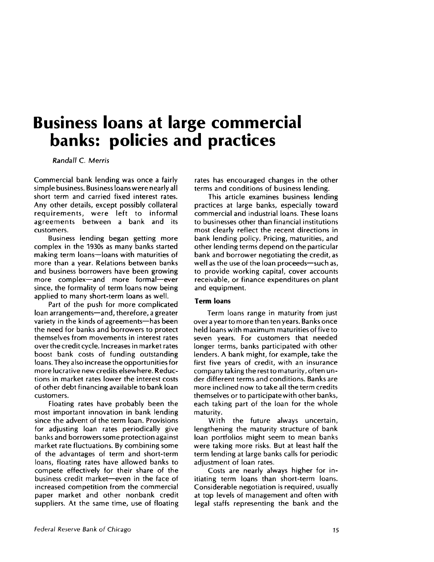# **Business loans at large commercial banks: policies and practices**

**Randall C. Merris** 

Commercial bank lending was once a fairly simple business. Business loans were nearly all short term and carried fixed interest rates. Any other details, except possibly collateral requirements, were left to informal agreements between a bank and its customers.

Business lending began getting more complex in the 1930s as many banks started making term loans—loans with maturities of more than a year. Relations between banks and business borrowers have been growing more complex—and more formal—ever since, the formality of term loans now being applied to many short-term loans as well.

Part of the push for more complicated loan arrangements—and, therefore, a greater variety in the kinds of agreements—has been the need for banks and borrowers to protect themselves from movements in interest rates over the credit cycle. **<sup>I</sup>** ncreases in market rates boost bank costs of funding outstanding loans. They also increase the opportunities for more lucrative new credits elsewhere. Reductions in market rates lower the interest costs of other debt financing available to bank loan customers.

Floating rates have probably been the most important innovation in bank lending since the advent of the term loan. Provisions for adjusting loan rates periodically give banks and borrowers some protection against market rate fluctuations. By combining some of the advantages of term and short-term loans, floating rates have allowed banks to compete effectively for their share of the business credit market—even in the face of increased competition from the commercial paper market and other nonbank credit suppliers. At the same time, use of floating rates has encouraged changes in the other terms and conditions of business lending.

This article examines business lending practices at large banks, especially toward commercial and industrial loans. These loans to businesses other than financial institutions most clearly reflect the recent directions in bank lending policy. Pricing, maturities, and other lending terms depend on the particular bank and borrower negotiating the credit, as well as the use of the loan proceeds—such as, to provide working capital, cover accounts receivable, or finance expenditures on plant and equipment.

# **Term loans**

Term loans range in maturity from just over a year to more than ten years. Banks once held loans with maximum maturities of five to seven years. For customers that needed longer terms, banks participated with other lenders. A bank might, for example, take the first five years of credit, with an insurance company taking the rest to maturity, often under different terms and conditions. Banks are more inclined now to take all the term credits themselves or to participate with other banks, each taking part of the loan for the whole maturity.

With the future always uncertain, lengthening the maturity structure of bank loan portfolios might seem to mean banks were taking more risks. But at least half the term lending at large banks calls for periodic adjustment of loan rates.

Costs are nearly always higher for initiating term loans than short-term loans. Considerable negotiation is required, usually at top levels of management and often with legal staffs representing the bank and the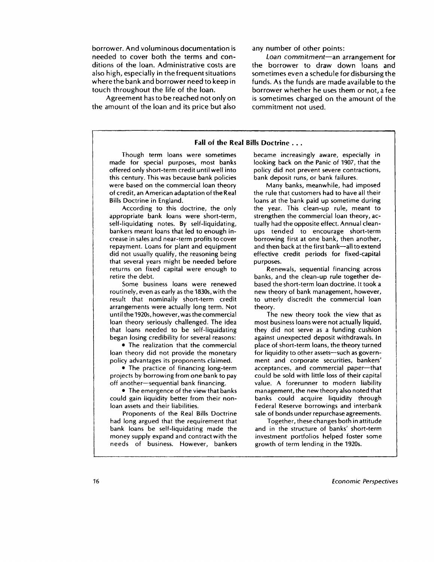borrower. And voluminous documentation is needed to cover both the terms and conditions of the loan. Administrative costs are also high, especially in the frequent situations where the bank and borrower need to keep in touch throughout the life of the loan.

Agreement has to be reached not only on the amount of the loan and its price but also **any** number of other points:

*Loan commitment—an* arrangement for the borrower to draw down loans and sometimes even a schedule for disbursing the funds. As the funds are made available to the borrower whether he uses them or not, a fee is sometimes charged on the amount of the commitment not used.

#### **Fall of the Real Bills Doctrine .. .**

Though term loans were sometimes made for special purposes, most banks offered only short-term credit until well into this century. This was because bank policies were based on the commercial loan theory of credit, an American adaptation of the Real Bills Doctrine in England.

According to this doctrine, the only appropriate bank loans were short-term, self-liquidating notes. By self-liquidating, bankers meant loans that led to enough increase in sales and near-term profits to cover repayment. Loans for plant and equipment did not usually qualify, the reasoning being that several years might be needed before returns on fixed capital were enough to retire the debt.

Some business loans were renewed routinely, even as early as the 1830s, with the result that nominally short-term credit arrangements were actually long term. Not until the 1920s, however, was the commercial loan theory seriously challenged. The idea that loans needed to be self-liquidating began losing credibility for several reasons:

• The realization that the commercial loan theory did not provide the monetary policy advantages its proponents claimed.

• The practice of financing long-term projects by borrowing from one bank to pay off another—sequential bank financing.

• The emergence of the view that banks could gain liquidity better from their nonloan assets and their liabilities.

Proponents of the Real Bills Doctrine had long argued that the requirement that bank loans be self-liquidating made the money supply expand and contract with the needs of business. However, bankers became increasingly aware, especially in looking back on the Panic of 1907, that the policy did not prevent severe contractions, bank deposit runs, or bank failures.

Many banks, meanwhile, had imposed the rule that customers had to have all their loans at the bank paid up sometime during the year. This clean-up rule, meant to strengthen the commercial loan theory, actually had the opposite effect. Annual cleanups tended to encourage short-term borrowing first at one bank, then another, and then back at the first bank—all to extend effective credit periods for fixed-capital purposes.

Renewals, sequential financing across banks, and the clean-up rule together debased the short-term loan doctrine. It took a new theory of bank management, however, to utterly discredit the commercial loan theory.

The new theory took the view that as most business loans were not actually liquid, they did not serve as a funding cushion against unexpected deposit withdrawals. In place of short-term loans, the theory turned for liquidity to other assets—such as government and corporate securities, bankers' acceptances, and commercial paper—that could be sold with little loss of their capital value. A forerunner to modern liability management, the new theory also noted that banks could acquire liquidity through Federal Reserve borrowings and interbank sale of bonds under repurchase agreements.

Together, these changes both in attitude and in the structure of banks' short-term investment portfolios helped foster some growth of term lending in the 1920s.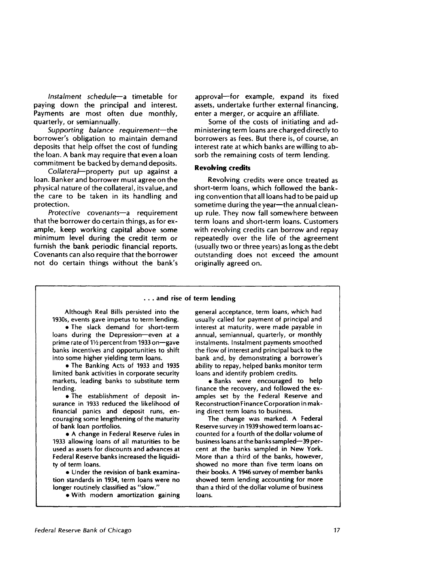*Instalment schedule—a* timetable for paying down the principal and interest. Payments are most often due monthly, quarterly, or semiannually.

*Supporting balance requirement—the* borrower's obligation to maintain demand deposits that help offset the cost of funding the loan. A bank may require that even a loan commitment be backed by demand deposits.

Collateral—property put up against a loan. Banker and borrower must agree on the physical nature of the collateral, its value, and the care to be taken in its handling and protection.

*Protective covenants—a* requirement that the borrower do certain things, as for example, keep working capital above some minimum level during the credit term or furnish the bank periodic financial reports. Covenants can also require that the borrower not do certain things without the bank's

approval—for example, expand its fixed assets, undertake further external financing, enter a merger, or acquire an affiliate.

Some of the costs of initiating and administering term loans are charged directly to borrowers as fees. But there is, of course, an interest rate at which banks are willing to absorb the remaining costs of term lending.

# **Revolving credits**

Revolving credits were once treated as short-term loans, which followed the banking convention that all loans had to be paid up sometime during the year—the annual cleanup rule. They now fall somewhere between term loans and short-term loans. Customers with revolving credits can borrow and repay repeatedly over the life of the agreement (usually two or three years) as long as the debt outstanding does not exceed the amount originally agreed on.

## **... and rise of term lending**

Although Real Bills persisted into the 1930s, events gave impetus to term lending.

• The slack demand for short-term loans during the Depression—even at a prime rate of  $1\frac{1}{2}$  percent from 1933 on—gave banks incentives and opportunities to shift into some higher yielding term loans.

• The Banking Acts of 1933 and 1935 limited bank activities in corporate security markets, leading banks to substitute term lending.

• The establishment of deposit insurance in 1933 reduced the likelihood of financial panics and deposit runs, encouraging some lengthening of the maturity of bank loan portfolios.

• A change in Federal Reserve rules in 1933 allowing loans of all maturities to be used as assets for discounts and advances at Federal Reserve banks increased the liquidity of term loans.

• Under the revision of bank examination standards in 1934, term loans were no longer routinely classified as "slow."

• With modern amortization gaining

general acceptance, term loans, which had usually called for payment of principal and interest at maturity, were made payable in annual, semiannual, quarterly, or monthly instalments. Instalment payments smoothed the flow of interest and principal back to the bank and, by demonstrating a borrower's ability to repay, helped banks monitor term loans and identify problem credits.

• Banks were encouraged to help finance the recovery, and followed the examples set by the Federal Reserve and Reconstruction Finance Corporation in making direct term loans to business.

The change was marked. A Federal Reserve survey in 1939 showed term loans accounted for a fourth of the dollar volume of business loans at the banks sampled-39 percent at the banks sampled in New York. More than a third of the banks, however, showed no more than five term loans on their books. A 1946 survey of member banks showed term lending accounting for more than a third of the dollar volume of business loans.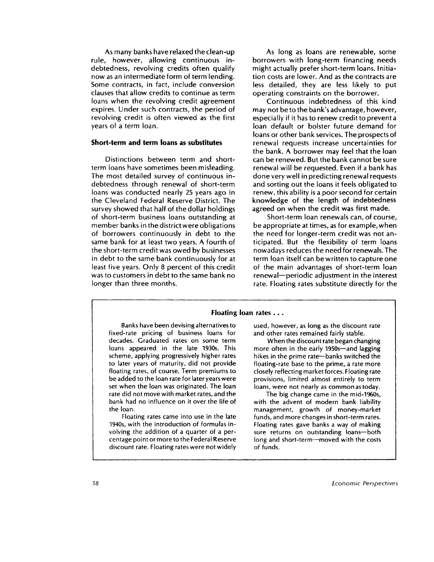As many banks have relaxed the clean-up rule, however, allowing continuous indebtedness, revolving credits often qualify now as an intermediate form of term lending. Some contracts, in fact, include conversion clauses that allow credits to continue as term loans when the revolving credit agreement expires. Under such contracts, the period of revolving credit is often viewed as the first years of a term loan.

# **Short-term and term loans as substitutes**

Distinctions between term and shortterm loans have sometimes been misleading. The most detailed survey of continuous indebtedness through renewal of short-term loans was conducted nearly 25 years ago in the Cleveland Federal Reserve District. The survey showed that half of the dollar holdings of short-term business loans outstanding at member banks in the district were obligations of borrowers continuously in debt to the same bank for at least two years. A fourth of the short-term credit was owed by businesses in debt to the same bank continuously for at least five years. Only 8 percent of this credit was to customers in debt to the same bank no longer than three months.

As long as loans are renewable, some borrowers with long-term financing needs might actually prefer short-term loans. Initiation costs are lower. And as the contracts are less detailed, they are less likely to put operating constraints on the borrower.

Continuous indebtedness of this kind may not be to the bank's advantage, however, especially if it has to renew credit to prevent a loan default or bolster future demand for loans or other bank services. The prospects of renewal requests increase uncertainties for the bank. A borrower may feel that the loan can be renewed. But the bank cannot be sure renewal will be requested. Even if a bank has done very well in predicting renewal requests and sorting out the loans it feels obligated to renew, this ability is a poor second for certain knowledge of the length of indebtedness agreed on when the credit was first made.

Short-term loan renewals can, of course, be appropriate at times, as for example, when the need for longer-term credit was not anticipated. But the flexibility of term loans nowadays reduces the need for renewals. The term loan itself can be written to capture one of the main advantages of short-term loan renewal—periodic adjustment in the interest rate. Floating rates substitute directly for the

# **Floating loan rates ...**

Banks have been devising alternatives to fixed-rate pricing of business loans for decades. Graduated rates on some term loans appeared in the late 1930s. This scheme, applying progressively higher rates to later years of maturity, did not provide floating rates, of course. Term premiums to be added to the loan rate for later years were set when the loan was originated. The loan rate did not move with market rates, and the bank had no influence on it over the life of the loan.

Floating rates came into use in the late 1940s, with the introduction of formulas involving the addition of a quarter of a percentage point or more to the Federal Reserve discount rate. Floating rates were not widely

used, however, as long as the discount rate and other rates remained fairly stable.

When the discount rate began changing more often in the early 1950s—and lagging hikes in the prime rate—banks switched the floating-rate base to the prime, a rate more closely reflecting market forces. Floating rate provisions, limited almost entirely to term loans, were not nearly as common as today.

The big change came in the mid-1960s, with the advent of modern bank liability management, growth of money-market funds, and more changes in short-term rates. Floating rates gave banks a way of making sure returns on outstanding loans—both long and short-term—moved with the costs of funds.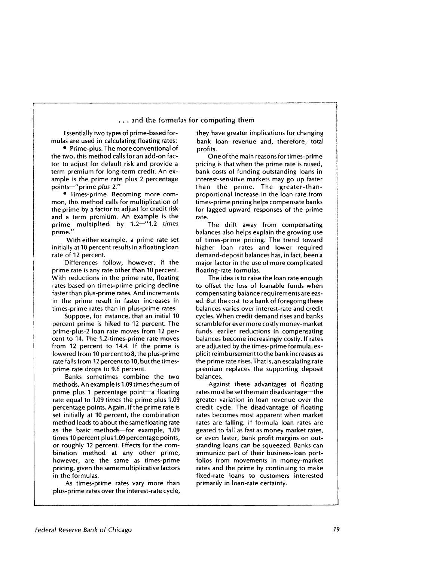#### . . . and the formulas for computing them

Essentially two types of prime-based formulas are used in calculating floating rates:

• Prime-plus. The more conventional of the two, this method calls for an add-on factor to adjust for default risk and provide a term premium for long-term credit. An example is the prime rate plus 2 percentage points—"prime *plus* 2."

• Times-prime. Becoming more common, this method calls for multiplication of the prime by a factor to adjust for credit risk and a term premium. An example is the prime multiplied by 1.2—"1.2 times prime."

With either example, a prime rate set initially at 10 percent results in a floating loan rate of 12 percent.

Differences follow, however, if the prime rate is any rate other than 10 percent. With reductions in the prime rate, floating rates based on times-prime pricing decline faster than plus-prime rates. And increments in the prime result in faster increases in times-prime rates than in plus-prime rates.

Suppose, for instance, that an initial 10 percent prime is hiked to 12 percent. The prime-plus-2 loan rate moves from 12 percent to 14. The 1.2-times-prime rate moves from 12 percent to 14.4. If the prime is lowered from 10 percent to 8, the plus-prime rate falls from 12 percent to 10, but the timesprime rate drops to 9.6 percent.

Banks sometimes combine the two methods. An example is 1.09 times the sum of prime plus 1 percentage point—a floating rate equal to 1.09 *times* the prime plus 1.09 percentage points. Again, if the prime rate is set initially at 10 percent, the combination method leads to about the same floating rate as the basic methods—for example, 1.09 times 10 percent plus 1.09 percentage points, or roughly 12 percent. Effects for the combination method at any other prime, however, are the same as times-prime pricing, given the same multiplicative factors in the formulas.

As times-prime rates vary more than plus-prime rates over the interest-rate cycle, they have greater implications for changing bank loan revenue and, therefore, total profits.

One of the main reasons for times-prime pricing is that when the prime rate is raised, bank costs of funding outstanding loans in interest-sensitive markets may go up faster than the prime. The greater-thanproportional increase in the loan rate from times-prime pricing helps compensate banks for lagged upward responses of the prime rate.

The drift away from compensating balances also helps explain the growing use of times-prime pricing. The trend toward higher loan rates and lower required demand-deposit balances has, in fact, been a major factor in the use of more complicated floating-rate formulas.

The idea is to raise the loan rate enough to offset the loss of loanable funds when compensating balance requirements are eased. But the cost to a bank of foregoing these balances varies over interest-rate and credit cycles. When credit demand rises and banks scramble for ever more costly money-market funds, earlier reductions in compensating balances become increasingly costly. If rates are adjusted by the times-prime formula, explicit reimbursement to the bank increases as the prime rate rises. That is, an escalating rate premium replaces the supporting deposit balances.

Against these advantages of floating rates must be set the main disadvantage—the greater variation in loan revenue over the credit cycle. The disadvantage of floating rates becomes most apparent when market rates are falling. If formula loan rates are geared to fall as fast as money market rates, or even faster, bank profit margins on outstanding loans can be squeezed. Banks can immunize part of their business-loan portfolios from movements in money-market rates and the prime by continuing to make fixed-rate loans to customers interested primarily in loan-rate certainty.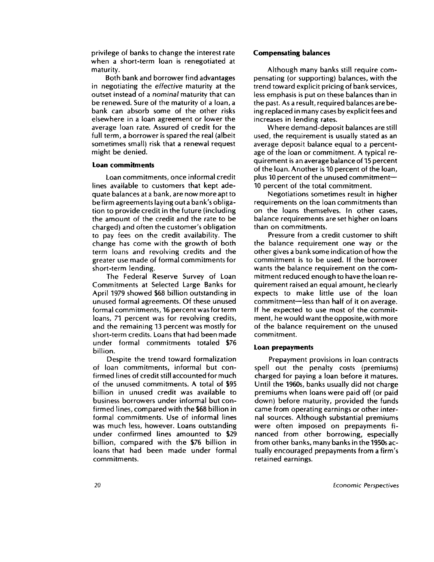privilege of banks to change the interest rate when a short-term loan is renegotiated at maturity.

Both bank and borrower find advantages in negotiating the *effective* maturity at the outset instead of a *nominal* maturity that can be renewed. Sure of the maturity of a loan, a bank can absorb some of the other risks elsewhere in a loan agreement or lower the average loan rate. Assured of credit for the full term, a borrower is spared the real (albeit sometimes small) risk that a renewal request might be denied.

#### **Loan commitments**

Loan commitments, once informal credit lines available to customers that kept adequate balances at a bank, are now more apt to be firm agreements laying out a bank's obligation to provide credit in the future (including the amount of the credit and the rate to be charged) and often the customer's obligation to pay fees on the credit availability. The change has come with the growth of both term loans and revolving credits and the greater use made of formal commitments for short-term lending.

The Federal Reserve Survey of Loan Commitments at Selected Large Banks for April 1979 showed \$68 billion outstanding in unused formal agreements. Of these unused formal commitments, 16 percent was for term loans, 71 percent was for revolving credits, and the remaining 13 percent was mostly for short-term credits. Loans that had been made under formal commitments totaled \$76 billion.

Despite the trend toward formalization of loan commitments, informal but confirmed lines of credit still accounted for much of the unused commitments. A total of \$95 billion in unused credit was available to business borrowers under informal but confirmed lines, compared with the \$68 billion in formal commitments. Use of informal lines was much less, however. Loans outstanding under confirmed lines amounted to \$29 billion, compared with the \$76 billion in loans that had been made under formal commitments.

## **Compensating balances**

Although many banks still require compensating (or supporting) balances, with the trend toward explicit pricing of bank services, less emphasis is put on these balances than in the past. As a result, required balances are being replaced in many cases by explicit fees and increases in lending rates.

Where demand-deposit balances are still used, the requirement is usually stated as an average deposit balance equal to a percentage of the loan or commitment. A typical requirement is an average balance of 15 percent of the loan. Another is 10 percent of the loan, plus 10 percent of the unused commitment-10 percent of the total commitment.

Negotiations sometimes result in higher requirements on the loan commitments than on the loans themselves. In other cases, balance requirements are set higher on loans than on commitments.

Pressure from a credit customer to shift the balance requirement one way or the other gives a bank some indication of how the commitment is to be used. If the borrower wants the balance requirement on the commitment reduced enough to have the loan requirement raised an equal amount, he clearly expects to make little use of the loan commitment—less than half of it on average. If he expected to use most of the commitment, he would want the opposite, with more of the balance requirement on the unused commitment.

#### **Loan prepayments**

Prepayment provisions in loan contracts spell out the penalty costs (premiums) charged for paying a loan before it matures. Until the 1960s, banks usually did not charge premiums when loans were paid off (or paid down) before maturity, provided the funds came from operating earnings or other internal sources. Although substantial premiums were often imposed on prepayments financed from other borrowing, especially from other banks, many banks in the 1950s actually encouraged prepayments from a firm's retained earnings.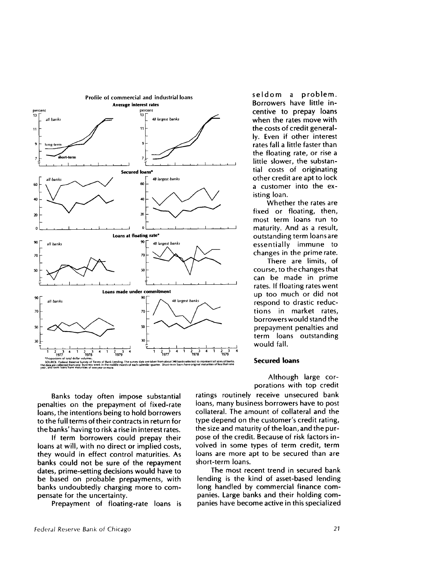

Banks today often impose substantial penalties on the prepayment of fixed-rate loans, the intentions being to hold borrowers to the full terms of their contracts in return for the banks' having to risk a rise in interest rates.

If term borrowers could prepay their loans at will, with no direct or implied costs, they would in effect control maturities. As banks could not be sure of the repayment dates, prime-setting decisions would have to be based on probable prepayments, with banks undoubtedly charging more to compensate for the uncertainty.

Prepayment of floating-rate loans is

seldom a problem. Borrowers have little incentive to prepay loans when the rates move with the costs of credit generally. Even if other interest rates fall a little faster than the floating rate, or rise a little slower, the substantial costs of originating other credit are apt to lock a customer into the existing loan.

Whether the rates are fixed or floating, then, most term loans run to maturity. And as a result, outstanding term loans are essentially immune to changes in the prime rate.

There are limits, of course, to the changes that can be made in prime rates. If floating rates went up too much or did not respond to drastic reductions in market rates, borrowers would stand the prepayment penalties and term loans outstanding would fall.

# **Secured loans**

Although large corporations with top credit

ratings routinely receive unsecured bank loans, many business borrowers have to post collateral. The amount of collateral and the type depend on the customer's credit rating, the size and maturity of the loan, and the purpose of the credit. Because of risk factors involved in some types of term credit, term loans are more apt to be secured than are short-term loans.

The most recent trend in secured bank lending is the kind of asset-based lending long handled by commercial finance companies. Large banks and their holding companies have become active in this specialized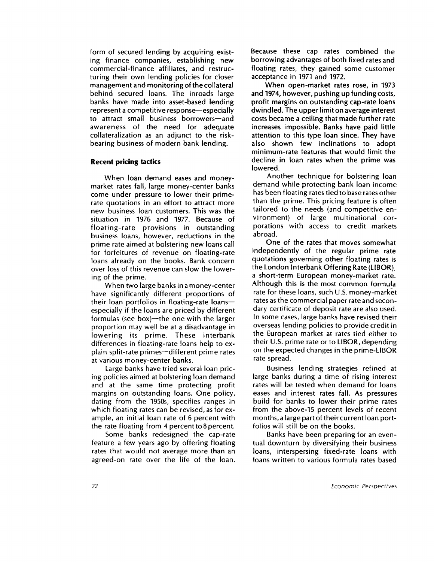form of secured lending by acquiring existing finance companies, establishing new commercial-finance affiliates, and restructuring their own lending policies for closer management and monitoring of the collateral behind secured loans. The inroads large banks have made into asset-based lending represent a competitive response—especially to attract small business borrowers—and awareness of the need for adequate collateralization as an adjunct to the riskbearing business of modern bank lending.

# **Recent pricing tactics**

When loan demand eases and moneymarket rates fall, large money-center banks come under pressure to lower their primerate quotations in an effort to attract more new business loan customers. This was the situation in 1976 and 1977. Because of floating-rate provisions in outstanding business loans, however, reductions in the prime rate aimed at bolstering new loans call for forfeitures of revenue on floating-rate loans already on the books. Bank concern over loss of this revenue can slow the lowering of the prime.

When two large banks in a money-center have significantly different proportions of their loan portfolios in floating-rate loans especially if the loans are priced by different formulas (see box)—the one with the larger proportion may well be at a disadvantage in lowering its prime. These interbank differences in floating-rate loans help to explain split-rate primes—different prime rates at various money-center banks.

Large banks have tried several loan pricing policies aimed at bolstering loan demand and at the same time protecting profit margins on outstanding loans. One policy, dating from the 1950s, specifies ranges in which floating rates can be revised, as for example, an initial loan rate of 6 percent with the rate floating from 4 percent to 8 percent.

Some banks redesigned the cap-rate feature a few years ago by offering floating rates that would not average more than an agreed-on rate over the life of the loan. Because these cap rates combined the borrowing advantages of both fixed rates and floating rates, they gained some customer acceptance in 1971 and 1972.

When open-market rates rose, in 1973 and 1974, however, pushing up funding costs, profit margins on outstanding cap-rate loans dwindled. **The** upper limit on average interest costs became a ceiling that made further rate increases impossible. Banks have paid little attention to this type loan since. They have also shown few inclinations to adopt minimum-rate features that would limit the decline in loan rates when the prime was lowered.

Another technique for bolstering loan demand while protecting bank loan income has been floating rates tied to base rates other than the prime. This pricing feature is often tailored to the needs (and competitive environment) of large multinational corporations with access to credit markets abroad.

One of the rates that moves somewhat independently of the regular prime rate quotations governing other floating rates is the London Interbank Offering Rate (LIBOR), a short-term European money-market rate. Although this is the most common formula rate for these loans, such U.S. money-market rates as the commercial paper rate and secondary certificate of deposit rate are also used. In some cases, large banks have revised their overseas lending policies to provide credit in the European market at rates tied either to their U.S. prime rate or to LIBOR, depending on the expected changes in the prime-LIBOR rate spread.

Business lending strategies refined at large banks during a time of rising interest rates will be tested when demand for loans eases and interest rates fall. As pressures build for banks to lower their prime rates from the above-15 percent levels of recent months, a large part of their current loan portfolios will still be on the books.

Banks have been preparing for an eventual downturn by diversifying their business loans, interspersing fixed-rate loans with loans written to various formula rates based